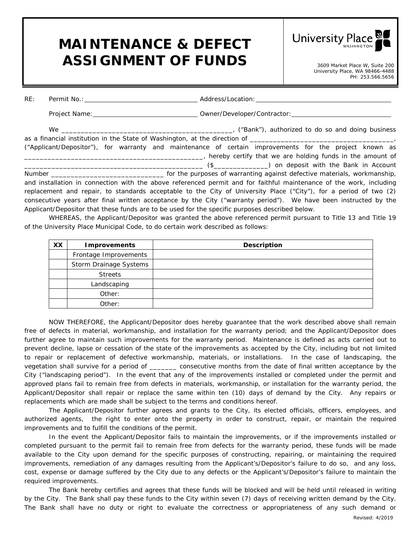## **MAINTENANCE & DEFECT**  ASSIGNMENT OF FUNDS 3609 Market Place W, Suite 200

**University Place** 

University Place, WA 98466-4488 PH: 253.566.5656

| RE:                                                                                                    |                                                                                                |                                                                                                                     |  |  |
|--------------------------------------------------------------------------------------------------------|------------------------------------------------------------------------------------------------|---------------------------------------------------------------------------------------------------------------------|--|--|
|                                                                                                        |                                                                                                |                                                                                                                     |  |  |
|                                                                                                        |                                                                                                |                                                                                                                     |  |  |
|                                                                                                        |                                                                                                |                                                                                                                     |  |  |
| ("Applicant/Depositor"), for warranty and maintenance of certain improvements for the project known as |                                                                                                |                                                                                                                     |  |  |
|                                                                                                        |                                                                                                | hereby certify that we are holding funds in the amount of the experience the subset of the sensor of the sensor     |  |  |
|                                                                                                        |                                                                                                |                                                                                                                     |  |  |
|                                                                                                        |                                                                                                |                                                                                                                     |  |  |
|                                                                                                        |                                                                                                | and installation in connection with the above referenced permit and for faithful maintenance of the work, including |  |  |
|                                                                                                        |                                                                                                | replacement and repair, to standards acceptable to the City of University Place ("City"), for a period of two (2)   |  |  |
|                                                                                                        |                                                                                                | consecutive years after final written acceptance by the City ("warranty period"). We have been instructed by the    |  |  |
|                                                                                                        | Applicant/Depositor that these funds are to be used for the specific purposes described below. |                                                                                                                     |  |  |

WHEREAS, the Applicant/Depositor was granted the above referenced permit pursuant to Title 13 and Title 19 of the University Place Municipal Code, to do certain work described as follows:

| <b>XX</b> | <b>Improvements</b>    | <b>Description</b> |
|-----------|------------------------|--------------------|
|           | Frontage Improvements  |                    |
|           | Storm Drainage Systems |                    |
|           | <b>Streets</b>         |                    |
|           | Landscaping            |                    |
|           | Other:                 |                    |
|           | Other:                 |                    |

NOW THEREFORE, the Applicant/Depositor does hereby guarantee that the work described above shall remain free of defects in material, workmanship, and installation for the warranty period; and the Applicant/Depositor does further agree to maintain such improvements for the warranty period. Maintenance is defined as acts carried out to prevent decline, lapse or cessation of the state of the improvements as accepted by the City, including but not limited to repair or replacement of defective workmanship, materials, or installations. In the case of landscaping, the vegetation shall survive for a period of \_\_\_\_\_\_\_ consecutive months from the date of final written acceptance by the City ("landscaping period"). In the event that any of the improvements installed or completed under the permit and approved plans fail to remain free from defects in materials, workmanship, or installation for the warranty period, the Applicant/Depositor shall repair or replace the same within ten (10) days of demand by the City. Any repairs or replacements which are made shall be subject to the terms and conditions hereof.

The Applicant/Depositor further agrees and grants to the City, its elected officials, officers, employees, and authorized agents, the right to enter onto the property in order to construct, repair, or maintain the required improvements and to fulfill the conditions of the permit.

In the event the Applicant/Depositor fails to maintain the improvements, or if the improvements installed or completed pursuant to the permit fail to remain free from defects for the warranty period, these funds will be made available to the City upon demand for the specific purposes of constructing, repairing, or maintaining the required improvements, remediation of any damages resulting from the Applicant's/Depositor's failure to do so, and any loss, cost, expense or damage suffered by the City due to any defects or the Applicant's/Depositor's failure to maintain the required improvements.

The Bank hereby certifies and agrees that these funds will be blocked and will be held until released in writing by the City. The Bank shall pay these funds to the City within seven (7) days of receiving written demand by the City. The Bank shall have no duty or right to evaluate the correctness or appropriateness of any such demand or